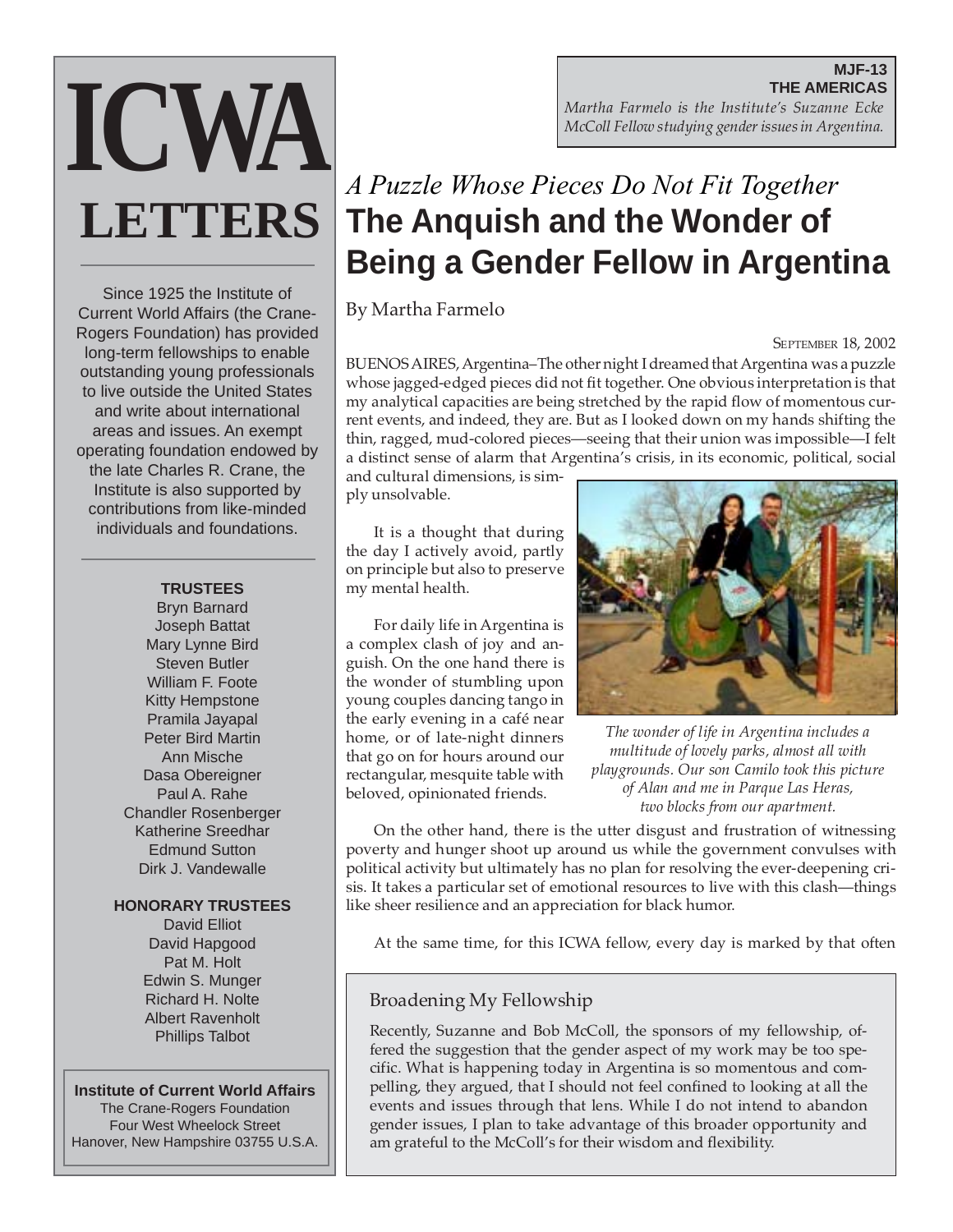#### **MJF-13 THE AMERICAS** *Martha Farmelo is the Institute's Suzanne Ecke McColl Fellow studying gender issues in Argentina.*

# *A Puzzle Whose Pieces Do Not Fit Together* **The Anquish and the Wonder of Being a Gender Fellow in Argentina**

By Martha Farmelo

### **SEPTEMBER 18, 2002**

BUENOS AIRES, Argentina–The other night I dreamed that Argentina was a puzzle whose jagged-edged pieces did not fit together. One obvious interpretation is that my analytical capacities are being stretched by the rapid flow of momentous current events, and indeed, they are. But as I looked down on my hands shifting the thin, ragged, mud-colored pieces—seeing that their union was impossible—I felt a distinct sense of alarm that Argentina's crisis, in its economic, political, social

and cultural dimensions, is simply unsolvable.

It is a thought that during the day I actively avoid, partly on principle but also to preserve my mental health.

For daily life in Argentina is a complex clash of joy and anguish. On the one hand there is the wonder of stumbling upon young couples dancing tango in the early evening in a café near home, or of late-night dinners that go on for hours around our rectangular, mesquite table with beloved, opinionated friends.



*The wonder of life in Argentina includes a multitude of lovely parks, almost all with playgrounds. Our son Camilo took this picture of Alan and me in Parque Las Heras, two blocks from our apartment.*

On the other hand, there is the utter disgust and frustration of witnessing poverty and hunger shoot up around us while the government convulses with political activity but ultimately has no plan for resolving the ever-deepening crisis. It takes a particular set of emotional resources to live with this clash—things like sheer resilience and an appreciation for black humor.

At the same time, for this ICWA fellow, every day is marked by that often

## Broadening My Fellowship

Recently, Suzanne and Bob McColl, the sponsors of my fellowship, offered the suggestion that the gender aspect of my work may be too specific. What is happening today in Argentina is so momentous and compelling, they argued, that I should not feel confined to looking at all the events and issues through that lens. While I do not intend to abandon gender issues, I plan to take advantage of this broader opportunity and am grateful to the McColl's for their wisdom and flexibility.

Since 1925 the Institute of Current World Affairs (the Crane-Rogers Foundation) has provided long-term fellowships to enable outstanding young professionals to live outside the United States and write about international areas and issues. An exempt operating foundation endowed by the late Charles R. Crane, the Institute is also supported by contributions from like-minded individuals and foundations.

**ICWA**

**LETTERS**

#### **TRUSTEES**

Bryn Barnard Joseph Battat Mary Lynne Bird Steven Butler William F. Foote Kitty Hempstone Pramila Jayapal Peter Bird Martin Ann Mische Dasa Obereigner Paul A. Rahe Chandler Rosenberger Katherine Sreedhar Edmund Sutton Dirk J. Vandewalle

#### **HONORARY TRUSTEES**

David Elliot David Hapgood Pat M. Holt Edwin S. Munger Richard H. Nolte Albert Ravenholt Phillips Talbot

#### **Institute of Current World Affairs**

The Crane-Rogers Foundation Four West Wheelock Street Hanover, New Hampshire 03755 U.S.A.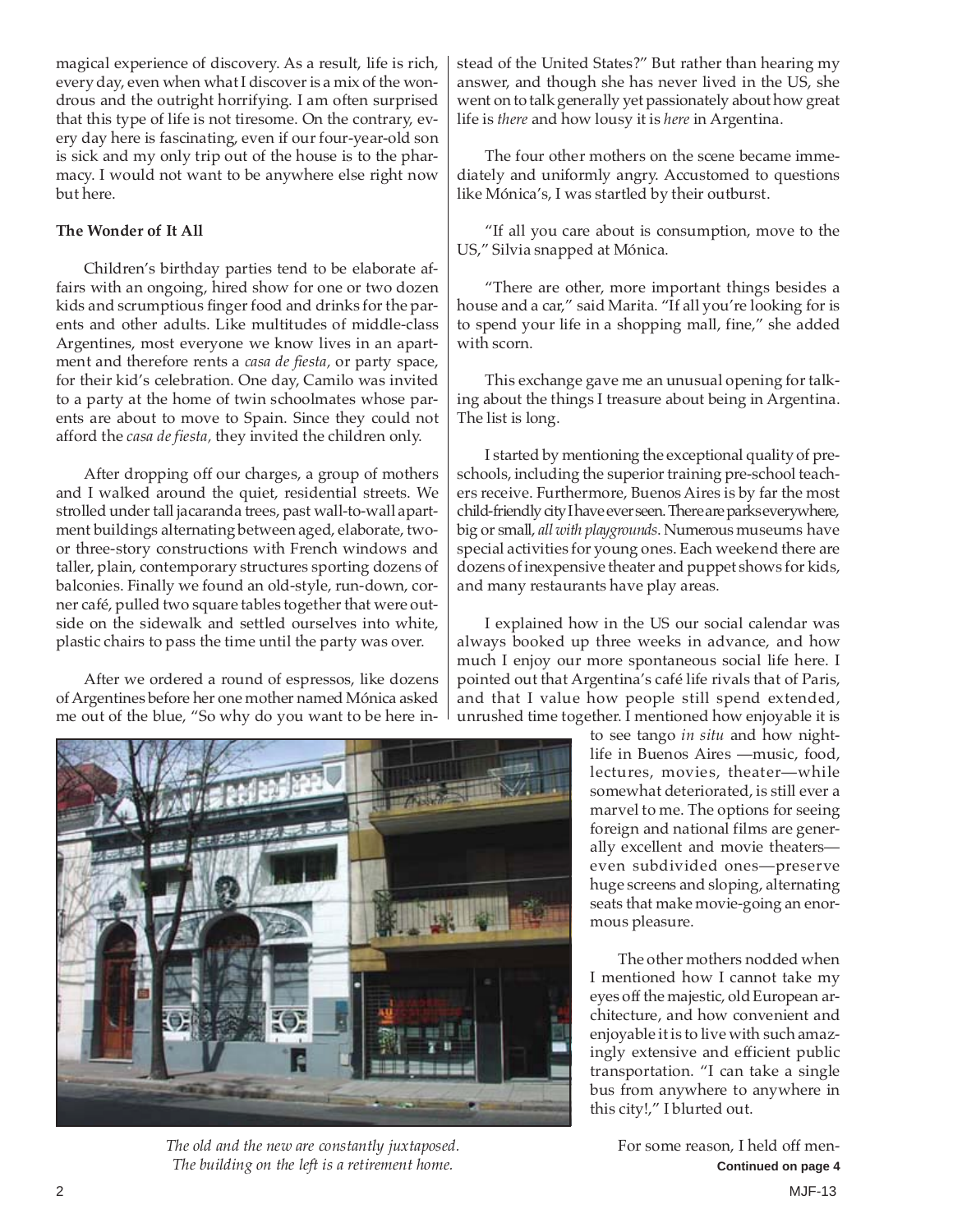magical experience of discovery. As a result, life is rich, every day, even when what I discover is a mix of the wondrous and the outright horrifying. I am often surprised that this type of life is not tiresome. On the contrary, every day here is fascinating, even if our four-year-old son is sick and my only trip out of the house is to the pharmacy. I would not want to be anywhere else right now but here.

#### **The Wonder of It All**

Children's birthday parties tend to be elaborate affairs with an ongoing, hired show for one or two dozen kids and scrumptious finger food and drinks for the parents and other adults. Like multitudes of middle-class Argentines, most everyone we know lives in an apartment and therefore rents a *casa de fiesta,* or party space, for their kid's celebration. One day, Camilo was invited to a party at the home of twin schoolmates whose parents are about to move to Spain. Since they could not afford the *casa de fiesta,* they invited the children only.

After dropping off our charges, a group of mothers and I walked around the quiet, residential streets. We strolled under tall jacaranda trees, past wall-to-wall apartment buildings alternating between aged, elaborate, twoor three-story constructions with French windows and taller, plain, contemporary structures sporting dozens of balconies. Finally we found an old-style, run-down, corner café, pulled two square tables together that were outside on the sidewalk and settled ourselves into white, plastic chairs to pass the time until the party was over.

After we ordered a round of espressos, like dozens of Argentines before her one mother named Mónica asked me out of the blue, "So why do you want to be here instead of the United States?" But rather than hearing my answer, and though she has never lived in the US, she went on to talk generally yet passionately about how great life is *there* and how lousy it is *here* in Argentina.

The four other mothers on the scene became immediately and uniformly angry. Accustomed to questions like Mónica's, I was startled by their outburst.

"If all you care about is consumption, move to the US," Silvia snapped at Mónica.

"There are other, more important things besides a house and a car," said Marita. "If all you're looking for is to spend your life in a shopping mall, fine," she added with scorn.

This exchange gave me an unusual opening for talking about the things I treasure about being in Argentina. The list is long.

I started by mentioning the exceptional quality of preschools, including the superior training pre-school teachers receive. Furthermore, Buenos Aires is by far the most child-friendly city I have ever seen. There are parks everywhere, big or small, *all with playgrounds*. Numerous museums have special activities for young ones. Each weekend there are dozens of inexpensive theater and puppet shows for kids, and many restaurants have play areas.

I explained how in the US our social calendar was always booked up three weeks in advance, and how much I enjoy our more spontaneous social life here. I pointed out that Argentina's café life rivals that of Paris, and that I value how people still spend extended, unrushed time together. I mentioned how enjoyable it is

> to see tango *in situ* and how nightlife in Buenos Aires —music, food, lectures, movies, theater—while somewhat deteriorated, is still ever a marvel to me. The options for seeing foreign and national films are generally excellent and movie theaters even subdivided ones—preserve huge screens and sloping, alternating seats that make movie-going an enormous pleasure.

> The other mothers nodded when I mentioned how I cannot take my eyes off the majestic, old European architecture, and how convenient and enjoyable it is to live with such amazingly extensive and efficient public transportation. "I can take a single bus from anywhere to anywhere in this city!," I blurted out.



*The old and the new are constantly juxtaposed.* For some reason, I held off men-*The building on the left is a retirement home.* **Continued on page 4 Continued on page 4**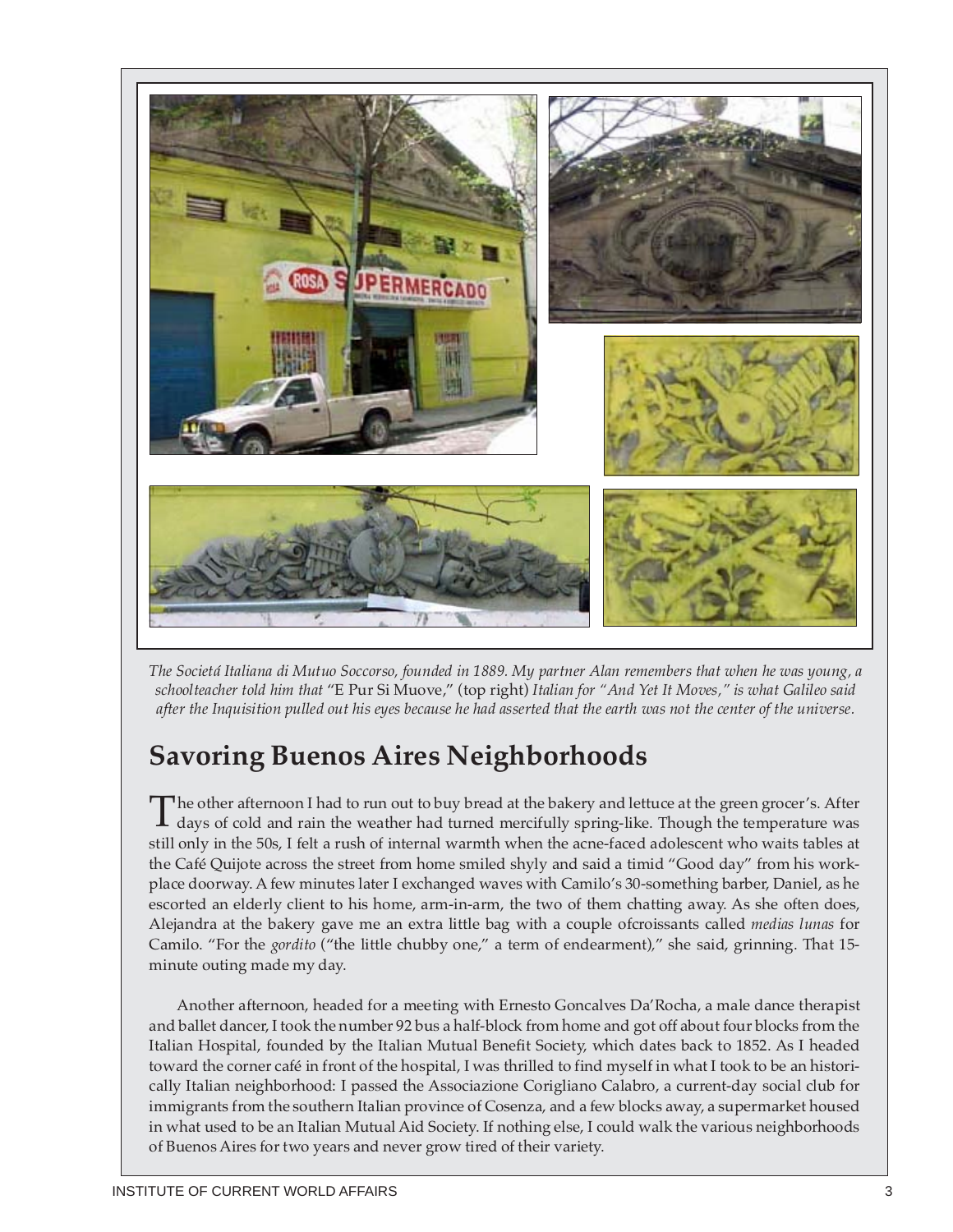

*The Societá Italiana di Mutuo Soccorso, founded in 1889. My partner Alan remembers that when he was young, a schoolteacher told him that* "E Pur Si Muove," (top right) *Italian for "And Yet It Moves," is what Galileo said after the Inquisition pulled out his eyes because he had asserted that the earth was not the center of the universe.*

## **Savoring Buenos Aires Neighborhoods**

The other afternoon I had to run out to buy bread at the bakery and lettuce at the green grocer's. After days of cold and rain the weather had turned mercifully spring-like. Though the temperature was still only in the 50s, I felt a rush of internal warmth when the acne-faced adolescent who waits tables at the Café Quijote across the street from home smiled shyly and said a timid "Good day" from his workplace doorway. A few minutes later I exchanged waves with Camilo's 30-something barber, Daniel, as he escorted an elderly client to his home, arm-in-arm, the two of them chatting away. As she often does, Alejandra at the bakery gave me an extra little bag with a couple ofcroissants called *medias lunas* for Camilo. "For the *gordito* ("the little chubby one," a term of endearment)*,*" she said, grinning. That 15 minute outing made my day.

Another afternoon, headed for a meeting with Ernesto Goncalves Da'Rocha, a male dance therapist and ballet dancer, I took the number 92 bus a half-block from home and got off about four blocks from the Italian Hospital, founded by the Italian Mutual Benefit Society, which dates back to 1852. As I headed toward the corner café in front of the hospital, I was thrilled to find myself in what I took to be an historically Italian neighborhood: I passed the Associazione Corigliano Calabro, a current-day social club for immigrants from the southern Italian province of Cosenza, and a few blocks away, a supermarket housed in what used to be an Italian Mutual Aid Society. If nothing else, I could walk the various neighborhoods of Buenos Aires for two years and never grow tired of their variety.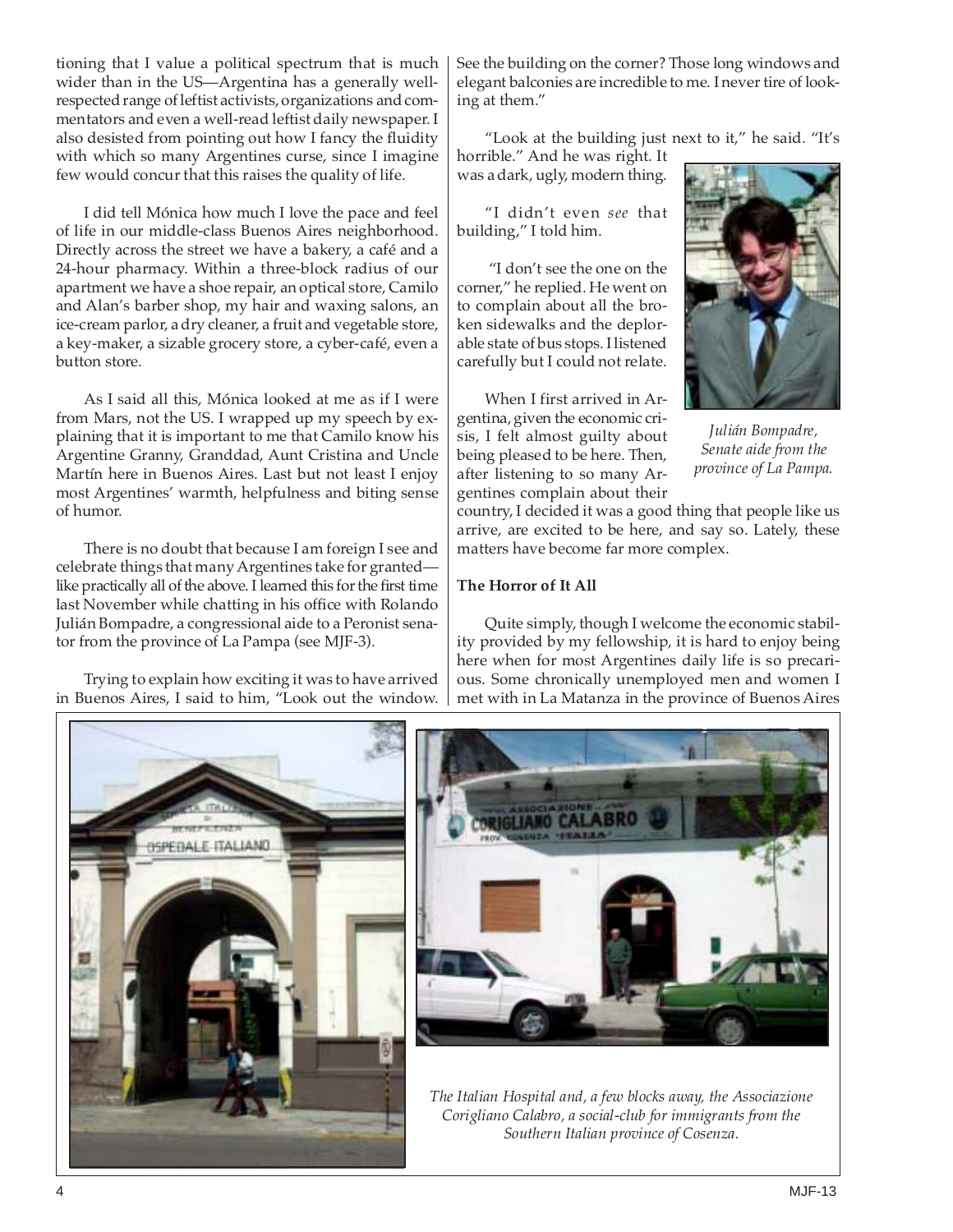tioning that I value a political spectrum that is much wider than in the US—Argentina has a generally wellrespected range of leftist activists, organizations and commentators and even a well-read leftist daily newspaper. I also desisted from pointing out how I fancy the fluidity with which so many Argentines curse, since I imagine few would concur that this raises the quality of life.

I did tell Mónica how much I love the pace and feel of life in our middle-class Buenos Aires neighborhood. Directly across the street we have a bakery, a café and a 24-hour pharmacy. Within a three-block radius of our apartment we have a shoe repair, an optical store, Camilo and Alan's barber shop, my hair and waxing salons, an ice-cream parlor, a dry cleaner, a fruit and vegetable store, a key-maker, a sizable grocery store, a cyber-café, even a button store.

As I said all this, Mónica looked at me as if I were from Mars, not the US. I wrapped up my speech by explaining that it is important to me that Camilo know his Argentine Granny, Granddad, Aunt Cristina and Uncle Martín here in Buenos Aires. Last but not least I enjoy most Argentines' warmth, helpfulness and biting sense of humor.

There is no doubt that because I am foreign I see and celebrate things that many Argentines take for granted like practically all of the above. I learned this for the first time last November while chatting in his office with Rolando Julián Bompadre, a congressional aide to a Peronist senator from the province of La Pampa (see MJF-3).

Trying to explain how exciting it was to have arrived in Buenos Aires, I said to him, "Look out the window. See the building on the corner? Those long windows and elegant balconies are incredible to me. I never tire of looking at them."

"Look at the building just next to it," he said. "It's horrible." And he was right. It

was a dark, ugly, modern thing.

"I didn't even *see* that building," I told him.

"I don't see the one on the corner," he replied. He went on to complain about all the broken sidewalks and the deplorable state of bus stops. I listened carefully but I could not relate.

When I first arrived in Argentina, given the economic crisis, I felt almost guilty about being pleased to be here. Then, after listening to so many Argentines complain about their



*Julián Bompadre, Senate aide from the province of La Pampa.*

country, I decided it was a good thing that people like us arrive, are excited to be here, and say so. Lately, these matters have become far more complex.

#### **The Horror of It All**

Quite simply, though I welcome the economic stability provided by my fellowship, it is hard to enjoy being here when for most Argentines daily life is so precarious. Some chronically unemployed men and women I met with in La Matanza in the province of Buenos Aires

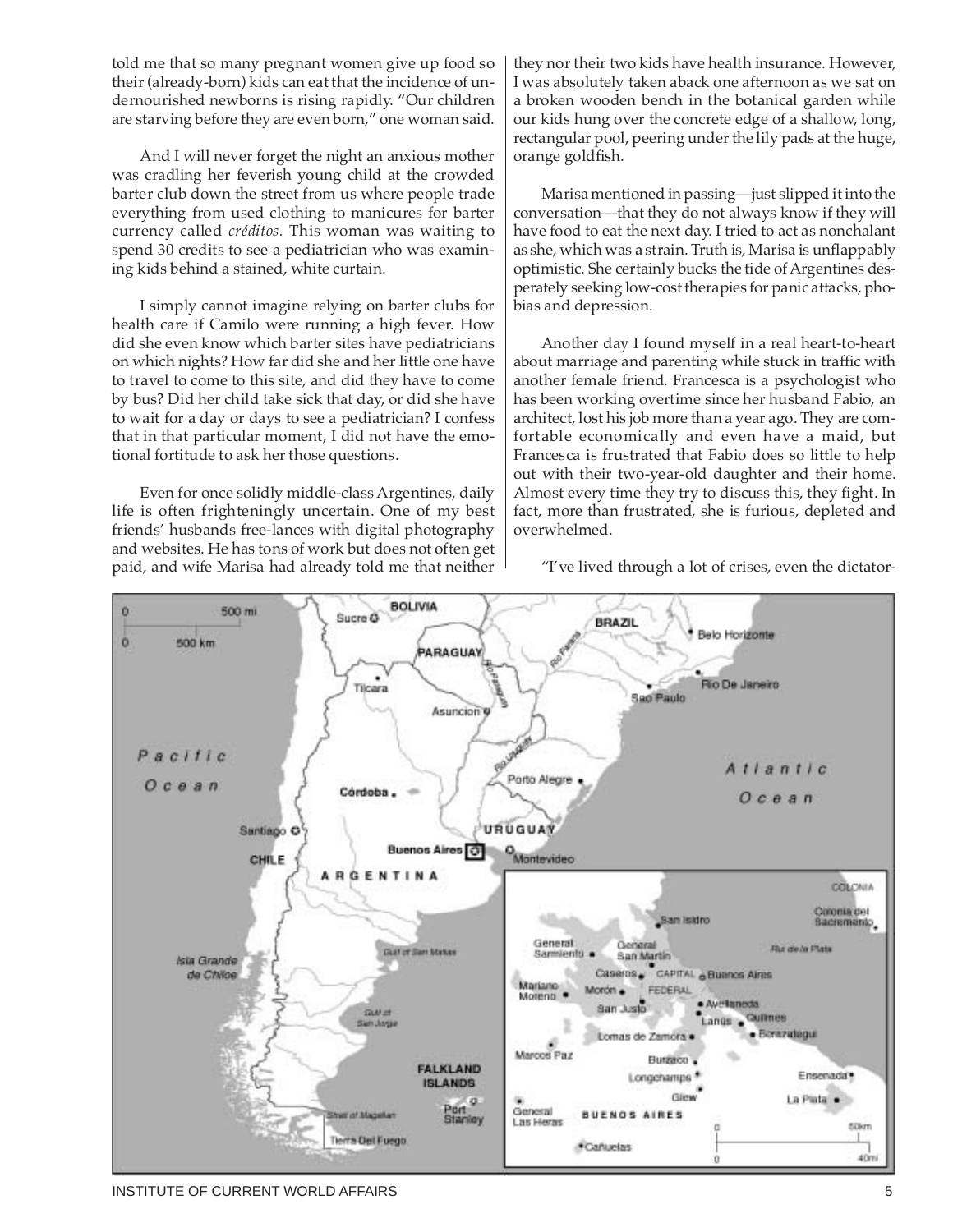told me that so many pregnant women give up food so their (already-born) kids can eat that the incidence of undernourished newborns is rising rapidly. "Our children are starving before they are even born," one woman said.

And I will never forget the night an anxious mother was cradling her feverish young child at the crowded barter club down the street from us where people trade everything from used clothing to manicures for barter currency called *créditos.* This woman was waiting to spend 30 credits to see a pediatrician who was examining kids behind a stained, white curtain.

I simply cannot imagine relying on barter clubs for health care if Camilo were running a high fever. How did she even know which barter sites have pediatricians on which nights? How far did she and her little one have to travel to come to this site, and did they have to come by bus? Did her child take sick that day, or did she have to wait for a day or days to see a pediatrician? I confess that in that particular moment, I did not have the emotional fortitude to ask her those questions.

Even for once solidly middle-class Argentines, daily life is often frighteningly uncertain. One of my best friends' husbands free-lances with digital photography and websites. He has tons of work but does not often get paid, and wife Marisa had already told me that neither they nor their two kids have health insurance. However, I was absolutely taken aback one afternoon as we sat on a broken wooden bench in the botanical garden while our kids hung over the concrete edge of a shallow, long, rectangular pool, peering under the lily pads at the huge, orange goldfish.

Marisa mentioned in passing—just slipped it into the conversation—that they do not always know if they will have food to eat the next day. I tried to act as nonchalant as she, which was a strain. Truth is, Marisa is unflappably optimistic. She certainly bucks the tide of Argentines desperately seeking low-cost therapies for panic attacks, phobias and depression.

Another day I found myself in a real heart-to-heart about marriage and parenting while stuck in traffic with another female friend. Francesca is a psychologist who has been working overtime since her husband Fabio, an architect, lost his job more than a year ago. They are comfortable economically and even have a maid, but Francesca is frustrated that Fabio does so little to help out with their two-year-old daughter and their home. Almost every time they try to discuss this, they fight. In fact, more than frustrated, she is furious, depleted and overwhelmed.

"I've lived through a lot of crises, even the dictator-



INSTITUTE OF CURRENT WORLD AFFAIRS **FOUR SETTING A SET AND SET A SET AND SET A** SHOW SHOW.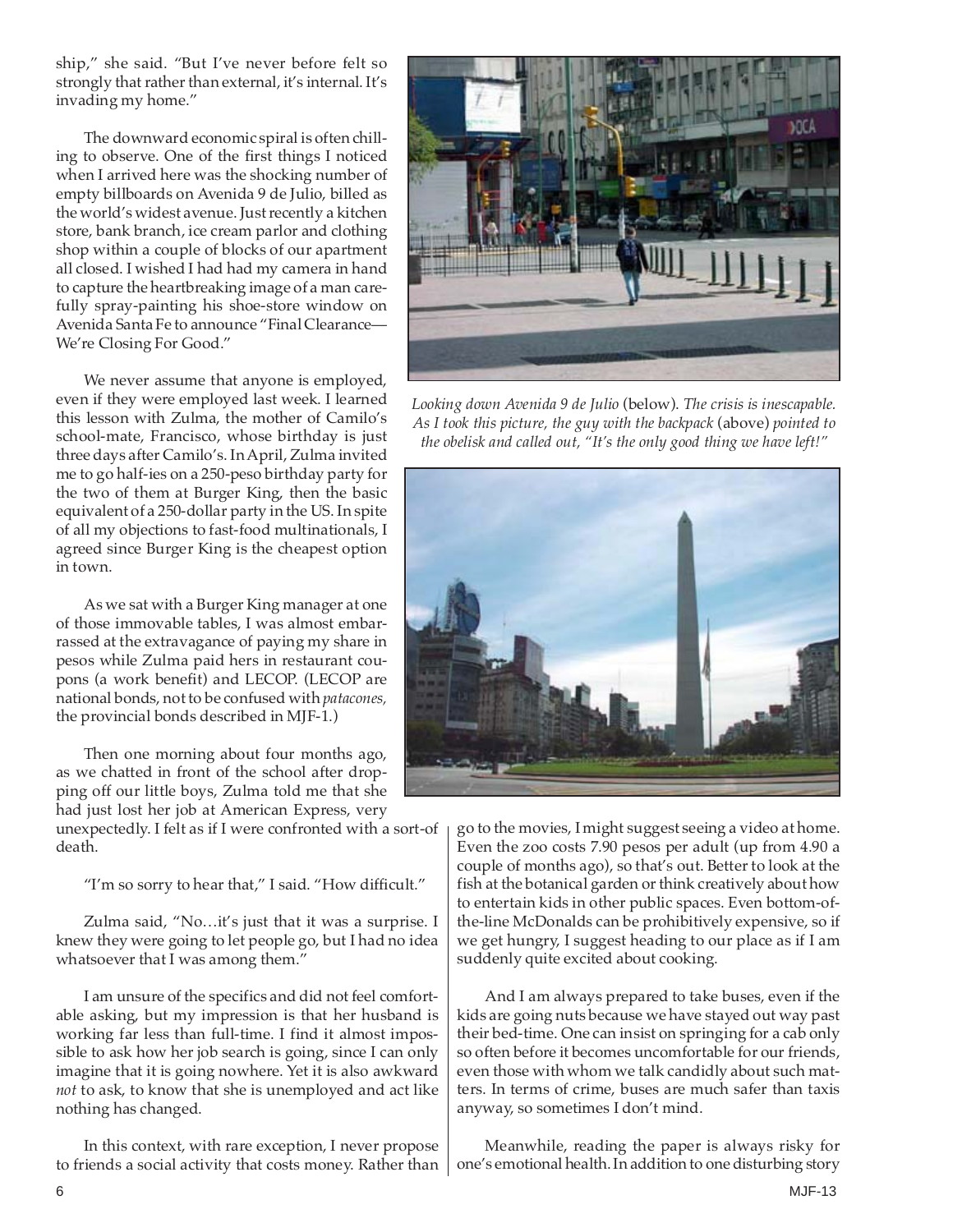ship," she said. "But I've never before felt so strongly that rather than external, it's internal. It's invading my home."

The downward economic spiral is often chilling to observe. One of the first things I noticed when I arrived here was the shocking number of empty billboards on Avenida 9 de Julio, billed as the world's widest avenue. Just recently a kitchen store, bank branch, ice cream parlor and clothing shop within a couple of blocks of our apartment all closed. I wished I had had my camera in hand to capture the heartbreaking image of a man carefully spray-painting his shoe-store window on Avenida Santa Fe to announce "Final Clearance— We're Closing For Good."

We never assume that anyone is employed, even if they were employed last week. I learned this lesson with Zulma, the mother of Camilo's school-mate, Francisco, whose birthday is just three days after Camilo's. In April, Zulma invited me to go half-ies on a 250-peso birthday party for the two of them at Burger King, then the basic equivalent of a 250-dollar party in the US. In spite of all my objections to fast-food multinationals, I agreed since Burger King is the cheapest option in town.

As we sat with a Burger King manager at one of those immovable tables, I was almost embarrassed at the extravagance of paying my share in pesos while Zulma paid hers in restaurant coupons (a work benefit) and LECOP. (LECOP are national bonds, not to be confused with *patacones,* the provincial bonds described in MJF-1.)

Then one morning about four months ago, as we chatted in front of the school after dropping off our little boys, Zulma told me that she had just lost her job at American Express, very

unexpectedly. I felt as if I were confronted with a sort-of death.

"I'm so sorry to hear that," I said. "How difficult."

Zulma said, "No…it's just that it was a surprise. I knew they were going to let people go, but I had no idea whatsoever that I was among them."

I am unsure of the specifics and did not feel comfortable asking, but my impression is that her husband is working far less than full-time. I find it almost impossible to ask how her job search is going, since I can only imagine that it is going nowhere. Yet it is also awkward *not* to ask, to know that she is unemployed and act like nothing has changed.

In this context, with rare exception, I never propose to friends a social activity that costs money. Rather than



*Looking down Avenida 9 de Julio* (below). *The crisis is inescapable. As I took this picture, the guy with the backpack* (above) *pointed to the obelisk and called out, "It's the only good thing we have left!"*



go to the movies, I might suggest seeing a video at home. Even the zoo costs 7.90 pesos per adult (up from 4.90 a couple of months ago), so that's out. Better to look at the fish at the botanical garden or think creatively about how to entertain kids in other public spaces. Even bottom-ofthe-line McDonalds can be prohibitively expensive, so if we get hungry, I suggest heading to our place as if I am suddenly quite excited about cooking.

And I am always prepared to take buses, even if the kids are going nuts because we have stayed out way past their bed-time. One can insist on springing for a cab only so often before it becomes uncomfortable for our friends, even those with whom we talk candidly about such matters. In terms of crime, buses are much safer than taxis anyway, so sometimes I don't mind.

Meanwhile, reading the paper is always risky for one's emotional health. In addition to one disturbing story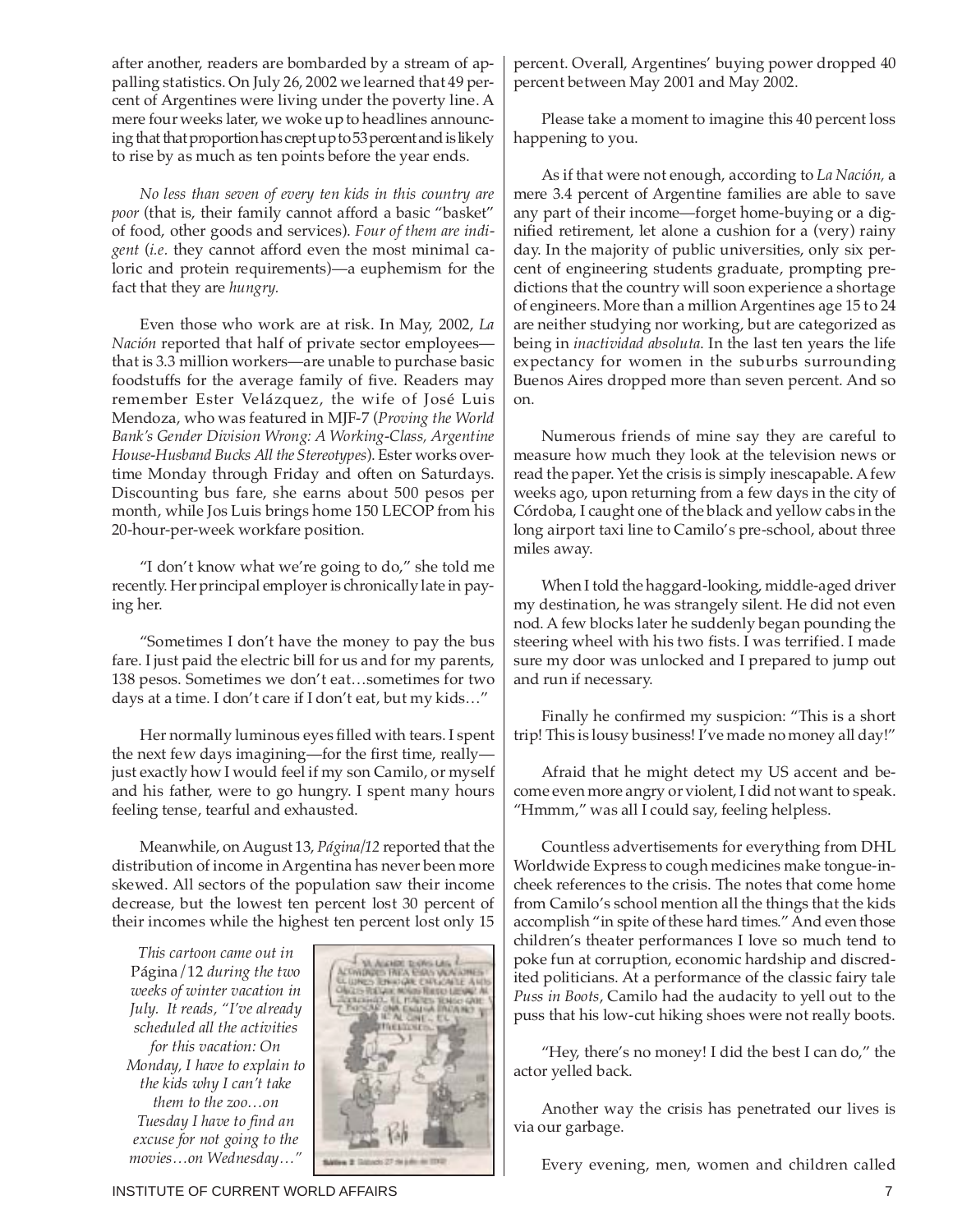after another, readers are bombarded by a stream of appalling statistics. On July 26, 2002 we learned that 49 percent of Argentines were living under the poverty line. A mere four weeks later, we woke up to headlines announcing that that proportion has crept up to 53 percent and is likely to rise by as much as ten points before the year ends.

*No less than seven of every ten kids in this country are poor* (that is, their family cannot afford a basic "basket" of food, other goods and services). *Four of them are indigent* (*i.e.* they cannot afford even the most minimal caloric and protein requirements)—a euphemism for the fact that they are *hungry.*

Even those who work are at risk. In May, 2002, *La Nación* reported that half of private sector employees that is 3.3 million workers—are unable to purchase basic foodstuffs for the average family of five. Readers may remember Ester Velázquez, the wife of José Luis Mendoza, who was featured in MJF-7 (*Proving the World Bank's Gender Division Wrong: A Working-Class, Argentine House-Husband Bucks All the Stereotypes*). Ester works overtime Monday through Friday and often on Saturdays. Discounting bus fare, she earns about 500 pesos per month, while Jos Luis brings home 150 LECOP from his 20-hour-per-week workfare position.

"I don't know what we're going to do," she told me recently. Her principal employer is chronically late in paying her.

"Sometimes I don't have the money to pay the bus fare. I just paid the electric bill for us and for my parents, 138 pesos. Sometimes we don't eat…sometimes for two days at a time. I don't care if I don't eat, but my kids…"

Her normally luminous eyes filled with tears. I spent the next few days imagining—for the first time, really just exactly how I would feel if my son Camilo, or myself and his father, were to go hungry. I spent many hours feeling tense, tearful and exhausted.

Meanwhile, on August 13, *Página/12* reported that the distribution of income in Argentina has never been more skewed. All sectors of the population saw their income decrease, but the lowest ten percent lost 30 percent of their incomes while the highest ten percent lost only 15

*This cartoon came out in* Página/12 *during the two weeks of winter vacation in July. It reads, "I've already scheduled all the activities for this vacation: On Monday, I have to explain to the kids why I can't take them to the zoo…on Tuesday I have to find an excuse for not going to the movies…on Wednesday…"*



percent. Overall, Argentines' buying power dropped 40 percent between May 2001 and May 2002.

Please take a moment to imagine this 40 percent loss happening to you.

As if that were not enough, according to *La Nación,* a mere 3.4 percent of Argentine families are able to save any part of their income—forget home-buying or a dignified retirement, let alone a cushion for a (very) rainy day. In the majority of public universities, only six percent of engineering students graduate, prompting predictions that the country will soon experience a shortage of engineers. More than a million Argentines age 15 to 24 are neither studying nor working, but are categorized as being in *inactividad absoluta*. In the last ten years the life expectancy for women in the suburbs surrounding Buenos Aires dropped more than seven percent. And so on.

Numerous friends of mine say they are careful to measure how much they look at the television news or read the paper. Yet the crisis is simply inescapable. A few weeks ago, upon returning from a few days in the city of Córdoba, I caught one of the black and yellow cabs in the long airport taxi line to Camilo's pre-school, about three miles away.

When I told the haggard-looking, middle-aged driver my destination, he was strangely silent. He did not even nod. A few blocks later he suddenly began pounding the steering wheel with his two fists. I was terrified. I made sure my door was unlocked and I prepared to jump out and run if necessary.

Finally he confirmed my suspicion: "This is a short trip! This is lousy business! I've made no money all day!"

Afraid that he might detect my US accent and become even more angry or violent, I did not want to speak. "Hmmm," was all I could say, feeling helpless.

Countless advertisements for everything from DHL Worldwide Express to cough medicines make tongue-incheek references to the crisis. The notes that come home from Camilo's school mention all the things that the kids accomplish "in spite of these hard times." And even those children's theater performances I love so much tend to poke fun at corruption, economic hardship and discredited politicians. At a performance of the classic fairy tale *Puss in Boots*, Camilo had the audacity to yell out to the puss that his low-cut hiking shoes were not really boots.

"Hey, there's no money! I did the best I can do," the actor yelled back.

Another way the crisis has penetrated our lives is via our garbage.

Every evening, men, women and children called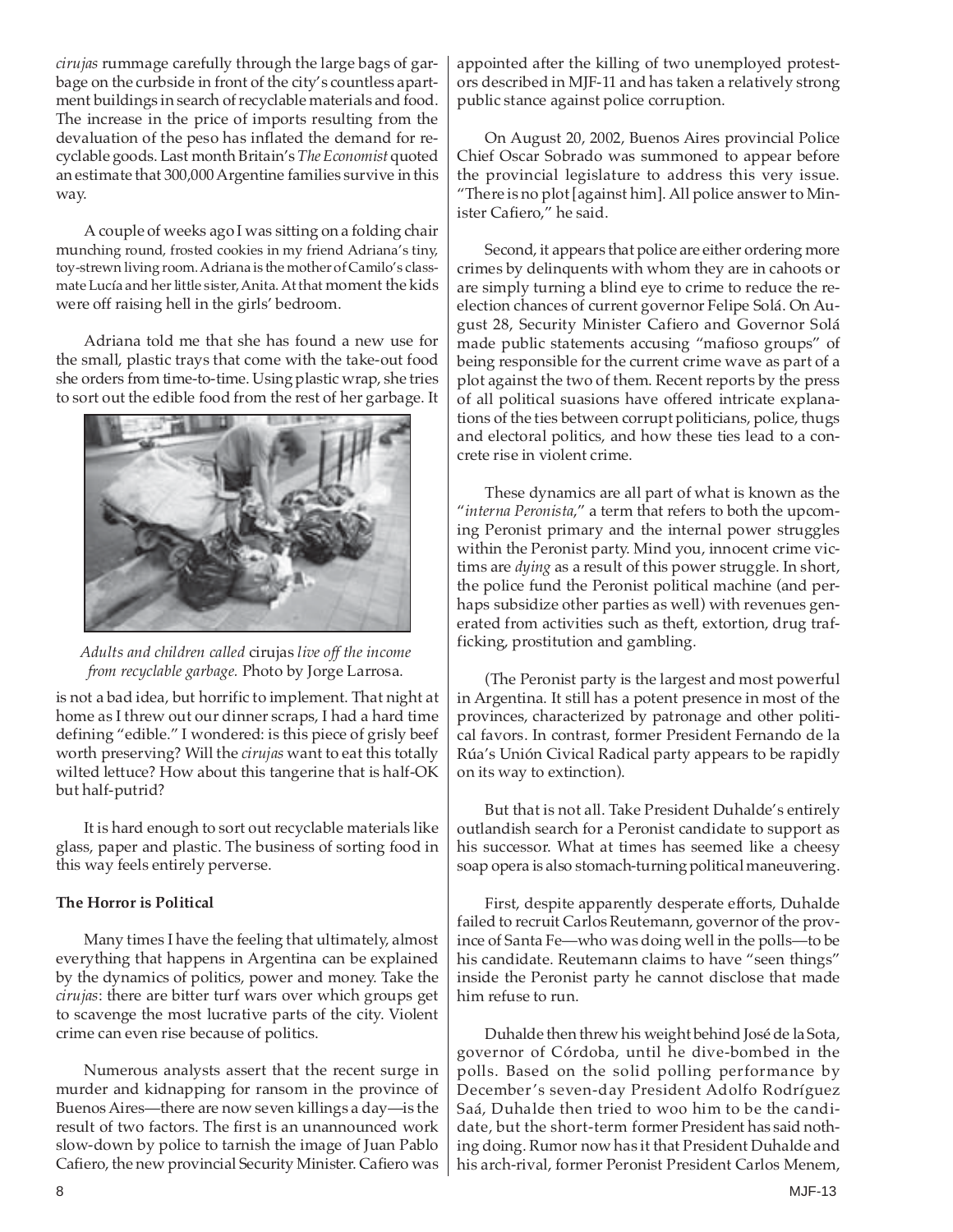*cirujas* rummage carefully through the large bags of garbage on the curbside in front of the city's countless apartment buildings in search of recyclable materials and food. The increase in the price of imports resulting from the devaluation of the peso has inflated the demand for recyclable goods. Last month Britain's *The Economist* quoted an estimate that 300,000 Argentine families survive in this way.

A couple of weeks ago I was sitting on a folding chair munching round, frosted cookies in my friend Adriana's tiny, toy-strewn living room. Adriana is the mother of Camilo's classmate Lucía and her little sister, Anita. At that moment the kids were off raising hell in the girls' bedroom.

Adriana told me that she has found a new use for the small, plastic trays that come with the take-out food she orders from time-to-time. Using plastic wrap, she tries to sort out the edible food from the rest of her garbage. It



*Adults and children called* cirujas *live off the income from recyclable garbage.* Photo by Jorge Larrosa.

is not a bad idea, but horrific to implement. That night at home as I threw out our dinner scraps, I had a hard time defining "edible." I wondered: is this piece of grisly beef worth preserving? Will the *cirujas* want to eat this totally wilted lettuce? How about this tangerine that is half-OK but half-putrid?

It is hard enough to sort out recyclable materials like glass, paper and plastic. The business of sorting food in this way feels entirely perverse.

#### **The Horror is Political**

Many times I have the feeling that ultimately, almost everything that happens in Argentina can be explained by the dynamics of politics, power and money. Take the *cirujas*: there are bitter turf wars over which groups get to scavenge the most lucrative parts of the city. Violent crime can even rise because of politics.

Numerous analysts assert that the recent surge in murder and kidnapping for ransom in the province of Buenos Aires—there are now seven killings a day—is the result of two factors. The first is an unannounced work slow-down by police to tarnish the image of Juan Pablo Cafiero, the new provincial Security Minister. Cafiero was appointed after the killing of two unemployed protestors described in MJF-11 and has taken a relatively strong public stance against police corruption.

On August 20, 2002, Buenos Aires provincial Police Chief Oscar Sobrado was summoned to appear before the provincial legislature to address this very issue. "There is no plot [against him]. All police answer to Minister Cafiero," he said.

Second, it appears that police are either ordering more crimes by delinquents with whom they are in cahoots or are simply turning a blind eye to crime to reduce the reelection chances of current governor Felipe Solá. On August 28, Security Minister Cafiero and Governor Solá made public statements accusing "mafioso groups" of being responsible for the current crime wave as part of a plot against the two of them. Recent reports by the press of all political suasions have offered intricate explanations of the ties between corrupt politicians, police, thugs and electoral politics, and how these ties lead to a concrete rise in violent crime.

These dynamics are all part of what is known as the "*interna Peronista*," a term that refers to both the upcoming Peronist primary and the internal power struggles within the Peronist party. Mind you, innocent crime victims are *dying* as a result of this power struggle. In short, the police fund the Peronist political machine (and perhaps subsidize other parties as well) with revenues generated from activities such as theft, extortion, drug trafficking, prostitution and gambling.

(The Peronist party is the largest and most powerful in Argentina. It still has a potent presence in most of the provinces, characterized by patronage and other political favors. In contrast, former President Fernando de la Rúa's Unión Civical Radical party appears to be rapidly on its way to extinction).

But that is not all. Take President Duhalde's entirely outlandish search for a Peronist candidate to support as his successor. What at times has seemed like a cheesy soap opera is also stomach-turning political maneuvering.

First, despite apparently desperate efforts, Duhalde failed to recruit Carlos Reutemann, governor of the province of Santa Fe—who was doing well in the polls—to be his candidate. Reutemann claims to have "seen things" inside the Peronist party he cannot disclose that made him refuse to run.

Duhalde then threw his weight behind José de la Sota, governor of Córdoba, until he dive-bombed in the polls. Based on the solid polling performance by December's seven-day President Adolfo Rodríguez Saá, Duhalde then tried to woo him to be the candidate, but the short-term former President has said nothing doing. Rumor now has it that President Duhalde and his arch-rival, former Peronist President Carlos Menem,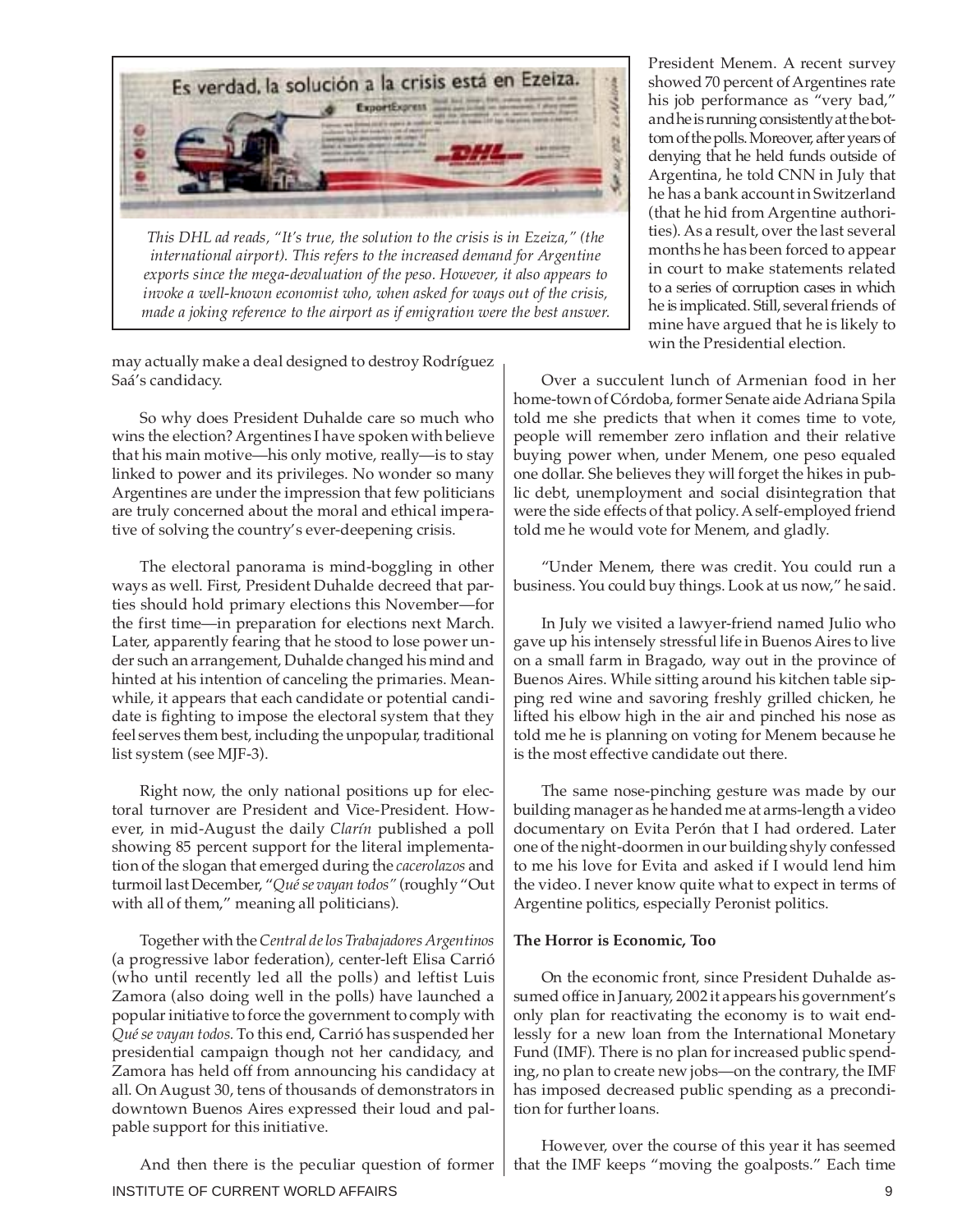

*This DHL ad reads, "It's true, the solution to the crisis is in Ezeiza," (the international airport). This refers to the increased demand for Argentine exports since the mega-devaluation of the peso. However, it also appears to invoke a well-known economist who, when asked for ways out of the crisis, made a joking reference to the airport as if emigration were the best answer.*

may actually make a deal designed to destroy Rodríguez Saá's candidacy.

So why does President Duhalde care so much who wins the election? Argentines I have spoken with believe that his main motive—his only motive, really—is to stay linked to power and its privileges. No wonder so many Argentines are under the impression that few politicians are truly concerned about the moral and ethical imperative of solving the country's ever-deepening crisis.

The electoral panorama is mind-boggling in other ways as well. First, President Duhalde decreed that parties should hold primary elections this November—for the first time—in preparation for elections next March. Later, apparently fearing that he stood to lose power under such an arrangement, Duhalde changed his mind and hinted at his intention of canceling the primaries. Meanwhile, it appears that each candidate or potential candidate is fighting to impose the electoral system that they feel serves them best, including the unpopular, traditional list system (see MJF-3).

Right now, the only national positions up for electoral turnover are President and Vice-President. However, in mid-August the daily *Clarín* published a poll showing 85 percent support for the literal implementation of the slogan that emerged during the *cacerolazos* and turmoil last December, "*Qué se vayan todos"* (roughly "Out with all of them," meaning all politicians).

Together with the *Central de los Trabajadores Argentinos* (a progressive labor federation), center-left Elisa Carrió (who until recently led all the polls) and leftist Luis Zamora (also doing well in the polls) have launched a popular initiative to force the government to comply with *Qué se vayan todos.* To this end, Carrió has suspended her presidential campaign though not her candidacy, and Zamora has held off from announcing his candidacy at all. On August 30, tens of thousands of demonstrators in downtown Buenos Aires expressed their loud and palpable support for this initiative.

INSTITUTE OF CURRENT WORLD AFFAIRS 9 And then there is the peculiar question of former

President Menem. A recent survey showed 70 percent of Argentines rate his job performance as "very bad," and he is running consistently at the bottom of the polls. Moreover, after years of denying that he held funds outside of Argentina, he told CNN in July that he has a bank account in Switzerland (that he hid from Argentine authorities). As a result, over the last several months he has been forced to appear in court to make statements related to a series of corruption cases in which he is implicated. Still, several friends of mine have argued that he is likely to win the Presidential election.

Over a succulent lunch of Armenian food in her home-town of Córdoba, former Senate aide Adriana Spila told me she predicts that when it comes time to vote, people will remember zero inflation and their relative buying power when, under Menem, one peso equaled one dollar. She believes they will forget the hikes in public debt, unemployment and social disintegration that were the side effects of that policy. A self-employed friend told me he would vote for Menem, and gladly.

"Under Menem, there was credit. You could run a business. You could buy things. Look at us now," he said.

In July we visited a lawyer-friend named Julio who gave up his intensely stressful life in Buenos Aires to live on a small farm in Bragado, way out in the province of Buenos Aires. While sitting around his kitchen table sipping red wine and savoring freshly grilled chicken, he lifted his elbow high in the air and pinched his nose as told me he is planning on voting for Menem because he is the most effective candidate out there.

The same nose-pinching gesture was made by our building manager as he handed me at arms-length a video documentary on Evita Perón that I had ordered. Later one of the night-doormen in our building shyly confessed to me his love for Evita and asked if I would lend him the video. I never know quite what to expect in terms of Argentine politics, especially Peronist politics.

#### **The Horror is Economic, Too**

On the economic front, since President Duhalde assumed office in January, 2002 it appears his government's only plan for reactivating the economy is to wait endlessly for a new loan from the International Monetary Fund (IMF). There is no plan for increased public spending, no plan to create new jobs—on the contrary, the IMF has imposed decreased public spending as a precondition for further loans.

However, over the course of this year it has seemed that the IMF keeps "moving the goalposts." Each time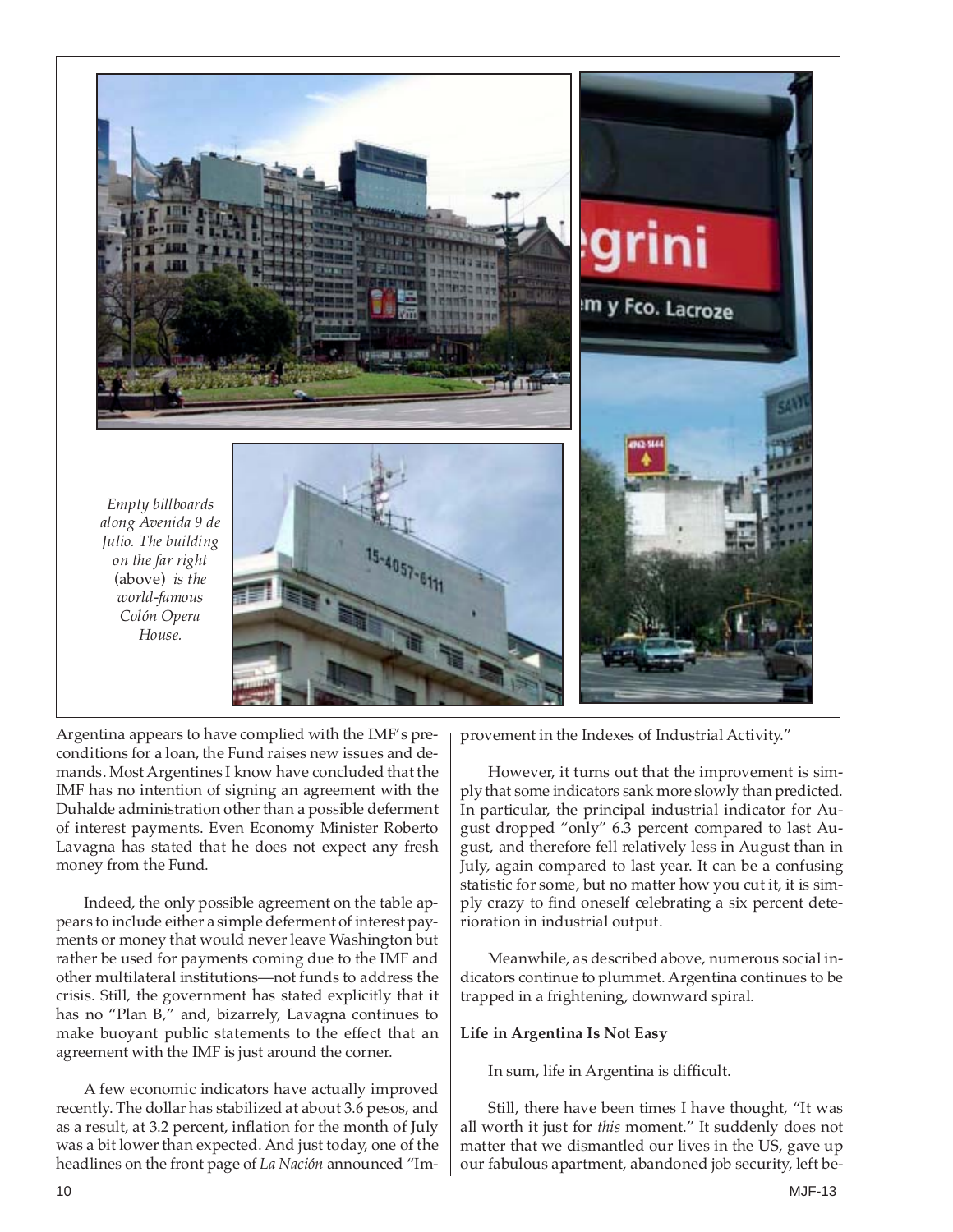

Argentina appears to have complied with the IMF's preconditions for a loan, the Fund raises new issues and demands. Most Argentines I know have concluded that the IMF has no intention of signing an agreement with the Duhalde administration other than a possible deferment of interest payments. Even Economy Minister Roberto Lavagna has stated that he does not expect any fresh money from the Fund.

Indeed, the only possible agreement on the table appears to include either a simple deferment of interest payments or money that would never leave Washington but rather be used for payments coming due to the IMF and other multilateral institutions—not funds to address the crisis. Still, the government has stated explicitly that it has no "Plan B," and, bizarrely, Lavagna continues to make buoyant public statements to the effect that an agreement with the IMF is just around the corner.

A few economic indicators have actually improved recently. The dollar has stabilized at about 3.6 pesos, and as a result, at 3.2 percent, inflation for the month of July was a bit lower than expected. And just today, one of the headlines on the front page of *La Nación* announced "Improvement in the Indexes of Industrial Activity."

However, it turns out that the improvement is simply that some indicators sank more slowly than predicted. In particular, the principal industrial indicator for August dropped "only" 6.3 percent compared to last August, and therefore fell relatively less in August than in July, again compared to last year. It can be a confusing statistic for some, but no matter how you cut it, it is simply crazy to find oneself celebrating a six percent deterioration in industrial output.

Meanwhile, as described above, numerous social indicators continue to plummet. Argentina continues to be trapped in a frightening, downward spiral.

#### **Life in Argentina Is Not Easy**

In sum, life in Argentina is difficult.

Still, there have been times I have thought, "It was all worth it just for *this* moment." It suddenly does not matter that we dismantled our lives in the US, gave up our fabulous apartment, abandoned job security, left be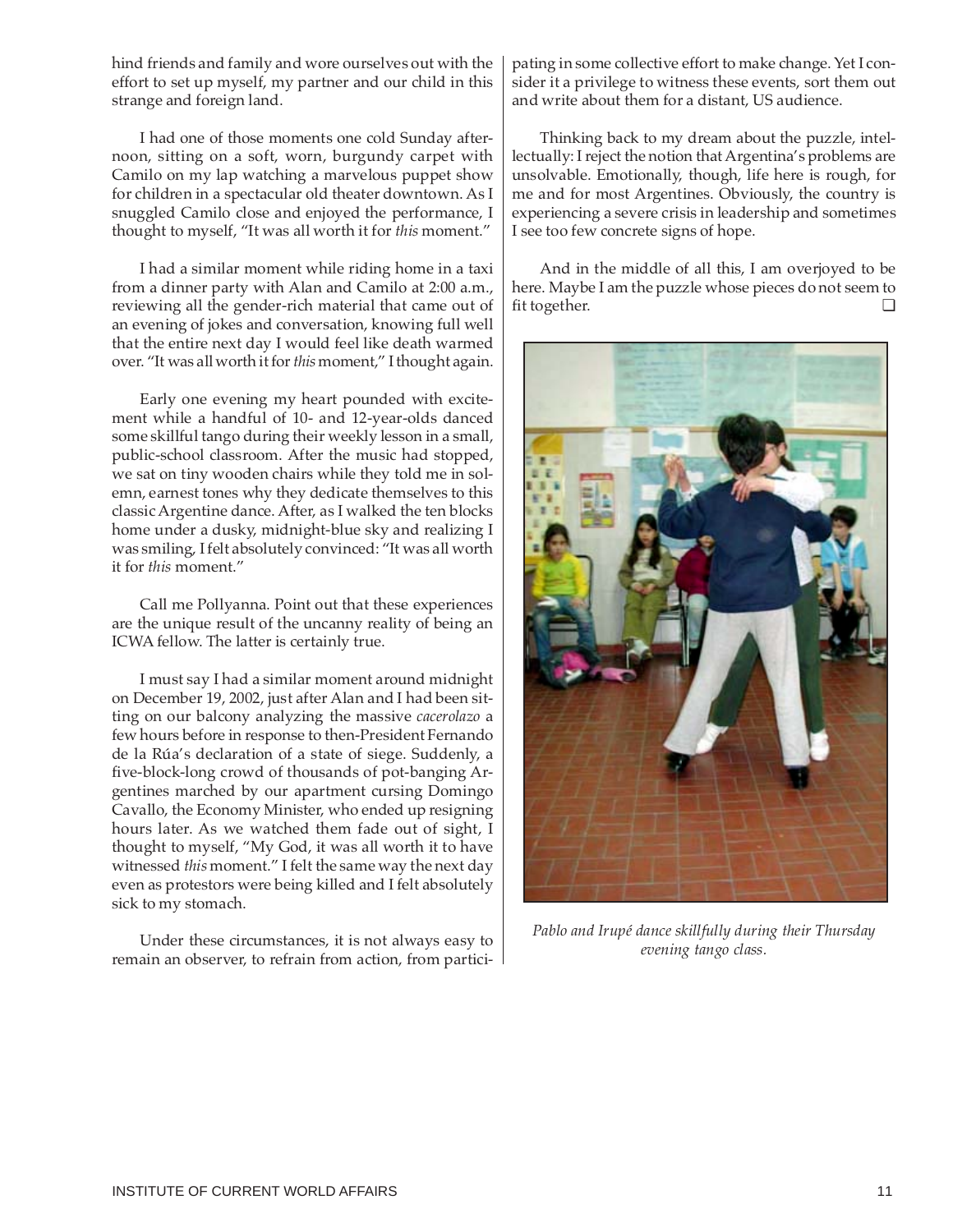effort to set up myself, my partner and our child in this strange and foreign land.

hind friends and family and wore ourselves out with the

I had one of those moments one cold Sunday afternoon, sitting on a soft, worn, burgundy carpet with Camilo on my lap watching a marvelous puppet show for children in a spectacular old theater downtown. As I snuggled Camilo close and enjoyed the performance, I thought to myself, "It was all worth it for *this* moment."

I had a similar moment while riding home in a taxi from a dinner party with Alan and Camilo at 2:00 a.m., reviewing all the gender-rich material that came out of an evening of jokes and conversation, knowing full well that the entire next day I would feel like death warmed over. "It was all worth it for *this* moment," I thought again.

Early one evening my heart pounded with excitement while a handful of 10- and 12-year-olds danced some skillful tango during their weekly lesson in a small, public-school classroom. After the music had stopped, we sat on tiny wooden chairs while they told me in solemn, earnest tones why they dedicate themselves to this classic Argentine dance. After, as I walked the ten blocks home under a dusky, midnight-blue sky and realizing I was smiling, I felt absolutely convinced: "It was all worth it for *this* moment."

Call me Pollyanna. Point out that these experiences are the unique result of the uncanny reality of being an ICWA fellow. The latter is certainly true.

I must say I had a similar moment around midnight on December 19, 2002, just after Alan and I had been sitting on our balcony analyzing the massive *cacerolazo* a few hours before in response to then-President Fernando de la Rúa's declaration of a state of siege. Suddenly, a five-block-long crowd of thousands of pot-banging Argentines marched by our apartment cursing Domingo Cavallo, the Economy Minister, who ended up resigning hours later. As we watched them fade out of sight, I thought to myself, "My God, it was all worth it to have witnessed *this* moment." I felt the same way the next day even as protestors were being killed and I felt absolutely sick to my stomach.

Under these circumstances, it is not always easy to remain an observer, to refrain from action, from participating in some collective effort to make change. Yet I consider it a privilege to witness these events, sort them out and write about them for a distant, US audience.

Thinking back to my dream about the puzzle, intellectually: I reject the notion that Argentina's problems are unsolvable. Emotionally, though, life here is rough, for me and for most Argentines. Obviously, the country is experiencing a severe crisis in leadership and sometimes I see too few concrete signs of hope.

And in the middle of all this, I am overjoyed to be here. Maybe I am the puzzle whose pieces do not seem to fit together. ❏



*Pablo and Irupé dance skillfully during their Thursday evening tango class.*